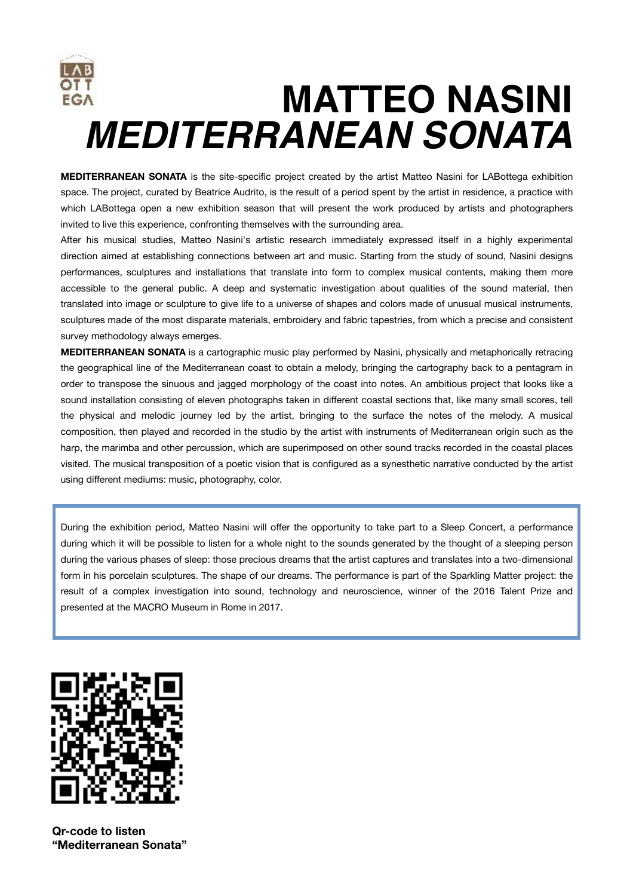

**MEDITERRANEAN SONATA** is the site-specific project created by the artist Matteo Nasini for LABottega exhibition space. The project, curated by Beatrice Audrito, is the result of a period spent by the artist in residence, a practice with which LABottega open a new exhibition season that will present the work produced by artists and photographers invited to live this experience, confronting themselves with the surrounding area.

After his musical studies, Matteo Nasini's artistic research immediately expressed itself in a highly experimental direction aimed at establishing connections between art and music. Starting from the study of sound, Nasini designs performances, sculptures and installations that translate into form to complex musical contents, making them more accessible to the general public. A deep and systematic investigation about qualities of the sound material, then translated into image or sculpture to give life to a universe of shapes and colors made of unusual musical instruments, sculptures made of the most disparate materials, embroidery and fabric tapestries, from which a precise and consistent survey methodology always emerges.

**MEDITERRANEAN SONATA** is a cartographic music play performed by Nasini, physically and metaphorically retracing the geographical line of the Mediterranean coast to obtain a melody, bringing the cartography back to a pentagram in order to transpose the sinuous and jagged morphology of the coast into notes. An ambitious project that looks like a sound installation consisting of eleven photographs taken in different coastal sections that, like many small scores, tell the physical and melodic journey led by the artist, bringing to the surface the notes of the melody. A musical composition, then played and recorded in the studio by the artist with instruments of Mediterranean origin such as the harp, the marimba and other percussion, which are superimposed on other sound tracks recorded in the coastal places visited. The musical transposition of a poetic vision that is configured as a synesthetic narrative conducted by the artist using different mediums: music, photography, color.

During the exhibition period, Matteo Nasini will offer the opportunity to take part to a Sleep Concert, a performance during which it will be possible to listen for a whole night to the sounds generated by the thought of a sleeping person during the various phases of sleep: those precious dreams that the artist captures and translates into a two-dimensional form in his porcelain sculptures. The shape of our dreams. The performance is part of the Sparkling Matter project: the result of a complex investigation into sound, technology and neuroscience, winner of the 2016 Talent Prize and presented at the MACRO Museum in Rome in 2017.



**Qr-code to listen "Mediterranean Sonata"**